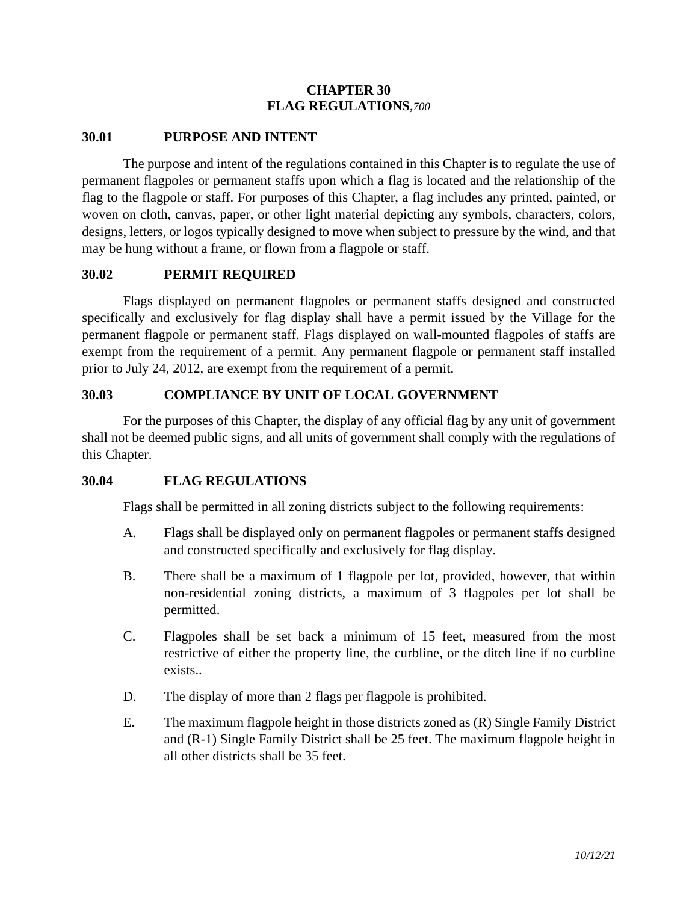## **CHAPTER 30 FLAG REGULATIONS***,700*

#### **30.01 PURPOSE AND INTENT**

The purpose and intent of the regulations contained in this Chapter is to regulate the use of permanent flagpoles or permanent staffs upon which a flag is located and the relationship of the flag to the flagpole or staff. For purposes of this Chapter, a flag includes any printed, painted, or woven on cloth, canvas, paper, or other light material depicting any symbols, characters, colors, designs, letters, or logos typically designed to move when subject to pressure by the wind, and that may be hung without a frame, or flown from a flagpole or staff.

#### **30.02 PERMIT REQUIRED**

Flags displayed on permanent flagpoles or permanent staffs designed and constructed specifically and exclusively for flag display shall have a permit issued by the Village for the permanent flagpole or permanent staff. Flags displayed on wall-mounted flagpoles of staffs are exempt from the requirement of a permit. Any permanent flagpole or permanent staff installed prior to July 24, 2012, are exempt from the requirement of a permit.

## **30.03 COMPLIANCE BY UNIT OF LOCAL GOVERNMENT**

For the purposes of this Chapter, the display of any official flag by any unit of government shall not be deemed public signs, and all units of government shall comply with the regulations of this Chapter.

#### **30.04 FLAG REGULATIONS**

Flags shall be permitted in all zoning districts subject to the following requirements:

- A. Flags shall be displayed only on permanent flagpoles or permanent staffs designed and constructed specifically and exclusively for flag display.
- B. There shall be a maximum of 1 flagpole per lot, provided, however, that within non-residential zoning districts, a maximum of 3 flagpoles per lot shall be permitted.
- C. Flagpoles shall be set back a minimum of 15 feet, measured from the most restrictive of either the property line, the curbline, or the ditch line if no curbline exists..
- D. The display of more than 2 flags per flagpole is prohibited.
- E. The maximum flagpole height in those districts zoned as (R) Single Family District and (R-1) Single Family District shall be 25 feet. The maximum flagpole height in all other districts shall be 35 feet.